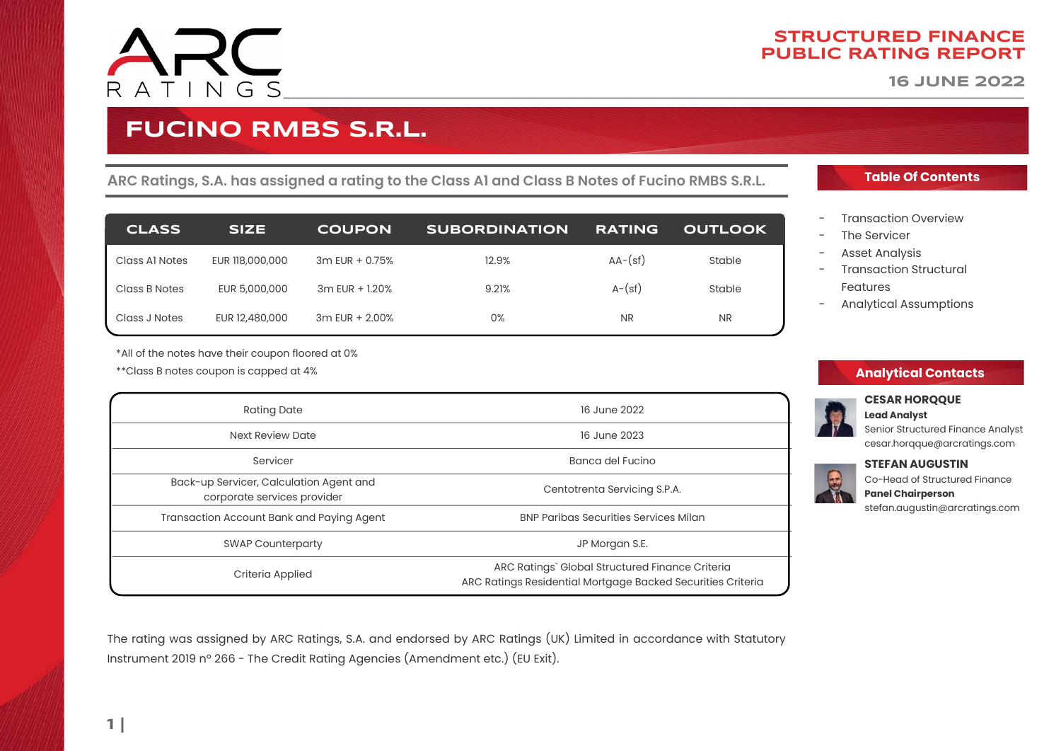

**16 JUNE 2022**

# **FUCINO RMBS S.R.L.**

**ARC Ratings, S.A. has assigned a rating to the Class A1 and Class B Notes of Fucino RMBS S.R.L.**

| <b>CLASS</b>   | <b>SIZE</b>     | <b>COUPON</b>      | <b>SUBORDINATION</b> | <b>RATING</b> | <b>OUTLOOK</b> |
|----------------|-----------------|--------------------|----------------------|---------------|----------------|
| Class Al Notes | EUR 118,000,000 | $3m$ EUR + 0.75%   | 12.9%                | $AA-(sf)$     | Stable         |
| Class B Notes  | EUR 5,000,000   | $3m$ EUR + $1.20%$ | 9.21%                | $A-(sf)$      | Stable         |
| Class J Notes  | EUR 12,480,000  | 3m EUR + 2.00%     | 0%                   | <b>NR</b>     | <b>NR</b>      |

\*All of the notes have their coupon floored at 0%

\*\*Class B notes coupon is capped at 4%

| <b>Rating Date</b>                                                     | 16 June 2022                                                                                                   |  |
|------------------------------------------------------------------------|----------------------------------------------------------------------------------------------------------------|--|
| Next Review Date                                                       | 16 June 2023                                                                                                   |  |
| Servicer                                                               | Banca del Fucino                                                                                               |  |
| Back-up Servicer, Calculation Agent and<br>corporate services provider | Centotrenta Servicing S.P.A.                                                                                   |  |
| Transaction Account Bank and Paying Agent                              | <b>BNP Paribas Securities Services Milan</b>                                                                   |  |
| <b>SWAP Counterparty</b>                                               | JP Morgan S.E.                                                                                                 |  |
| Criteria Applied                                                       | ARC Ratings` Global Structured Finance Criteria<br>ARC Ratings Residential Mortgage Backed Securities Criteria |  |

### **Table Of Contents**

- - [Transaction Overview](#page-1-0)
- The Servicer
- [Asset Analysis](#page-8-0)
- **Transaction Structural** [Features](#page-16-0)
- - [Analytical Assumptions](#page-20-0)

### **Analytical Contacts**



#### **CESAR HORQQUE Lead Analyst**

Senior Structured Finance Analyst cesar.horqque@arcratings.com

### **STEFAN AUGUSTIN**



stefan.augustin@arcratings.com

The rating was assigned by ARC Ratings, S.A. and endorsed by ARC Ratings (UK) Limited in accordance with Statutory Instrument 2019 nº 266 - The Credit Rating Agencies (Amendment etc.) (EU Exit).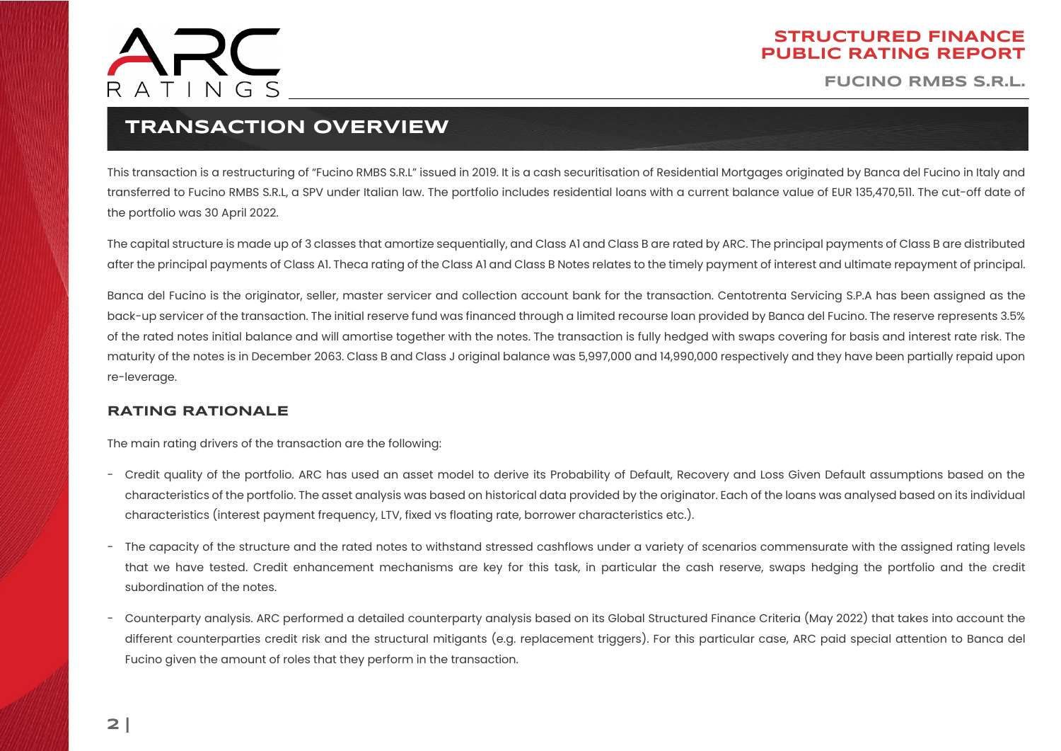

**FUCINO RMBS S.R.L.**

### **TRANSACTION OVERVIEW**

<span id="page-1-0"></span>This transaction is a restructuring of "Fucino RMBS S.R.L" issued in 2019. It is a cash securitisation of Residential Mortgages originated by Banca del Fucino in Italy and transferred to Fucino RMBS S.R.L, a SPV under Italian law. The portfolio includes residential loans with a current balance value of EUR 135,470,511. The cut-off date of the portfolio was 30 April 2022.

The capital structure is made up of 3 classes that amortize sequentially, and Class A1 and Class B are rated by ARC. The principal payments of Class B are distributed after the principal payments of Class A1. Theca rating of the Class A1 and Class B Notes relates to the timely payment of interest and ultimate repayment of principal.

Banca del Fucino is the originator, seller, master servicer and collection account bank for the transaction. Centotrenta Servicing S.P.A has been assigned as the back-up servicer of the transaction. The initial reserve fund was financed through a limited recourse loan provided by Banca del Fucino. The reserve represents 3.5% of the rated notes initial balance and will amortise together with the notes. The transaction is fully hedged with swaps covering for basis and interest rate risk. The maturity of the notes is in December 2063. Class B and Class J original balance was 5,997,000 and 14,990,000 respectively and they have been partially repaid upon re-leverage.

### **RATING RATIONALE**

The main rating drivers of the transaction are the following:

- Credit quality of the portfolio. ARC has used an asset model to derive its Probability of Default, Recovery and Loss Given Default assumptions based on the characteristics of the portfolio. The asset analysis was based on historical data provided by the originator. Each of the loans was analysed based on its individual characteristics (interest payment frequency, LTV, fixed vs floating rate, borrower characteristics etc.).
- The capacity of the structure and the rated notes to withstand stressed cashflows under a variety of scenarios commensurate with the assigned rating levels that we have tested. Credit enhancement mechanisms are key for this task, in particular the cash reserve, swaps hedging the portfolio and the credit subordination of the notes.
- Counterparty analysis. ARC performed a detailed counterparty analysis based on its Global Structured Finance Criteria (May 2022) that takes into account the different counterparties credit risk and the structural mitigants (e.g. replacement triggers). For this particular case, ARC paid special attention to Banca del Fucino given the amount of roles that they perform in the transaction.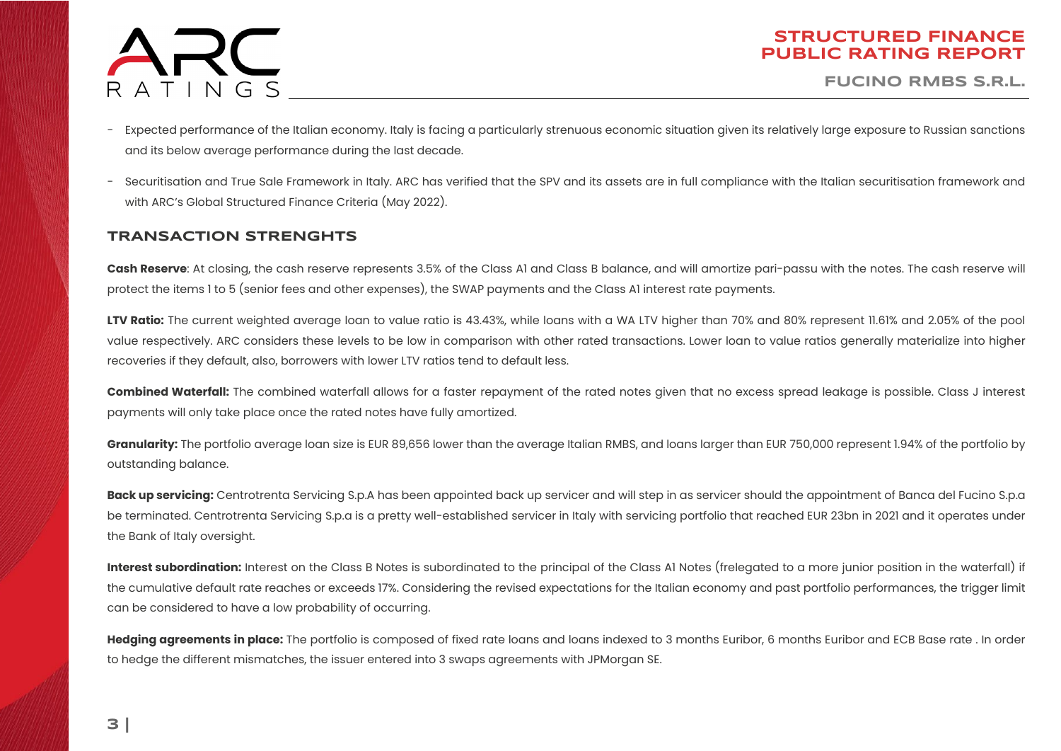

**FUCINO RMBS S.R.L.**

- Expected performance of the Italian economy. Italy is facing a particularly strenuous economic situation given its relatively large exposure to Russian sanctions and its below average performance during the last decade.
- Securitisation and True Sale Framework in Italy. ARC has verified that the SPV and its assets are in full compliance with the Italian securitisation framework and with ARC's Global Structured Finance Criteria (May 2022).

### **TRANSACTION STRENGHTS**

**Cash Reserve**: At closing, the cash reserve represents 3.5% of the Class A1 and Class B balance, and will amortize pari-passu with the notes. The cash reserve will protect the items 1 to 5 (senior fees and other expenses), the SWAP payments and the Class A1 interest rate payments.

LTV Ratio: The current weighted average loan to value ratio is 43.43%, while loans with a WA LTV higher than 70% and 80% represent 11.61% and 2.05% of the pool value respectively. ARC considers these levels to be low in comparison with other rated transactions. Lower loan to value ratios generally materialize into higher recoveries if they default, also, borrowers with lower LTV ratios tend to default less.

**Combined Waterfall:** The combined waterfall allows for a faster repayment of the rated notes given that no excess spread leakage is possible. Class J interest payments will only take place once the rated notes have fully amortized.

**Granularity:** The portfolio average loan size is EUR 89,656 lower than the average Italian RMBS, and loans larger than EUR 750,000 represent 1.94% of the portfolio by outstanding balance.

**Back up servicing:** Centrotrenta Servicing S.p.A has been appointed back up servicer and will step in as servicer should the appointment of Banca del Fucino S.p.a be terminated. Centrotrenta Servicing S.p.a is a pretty well-established servicer in Italy with servicing portfolio that reached EUR 23bn in 2021 and it operates under the Bank of Italy oversight.

Interest subordination: Interest on the Class B Notes is subordinated to the principal of the Class A1 Notes (frelegated to a more junior position in the waterfall) if the cumulative default rate reaches or exceeds 17%. Considering the revised expectations for the Italian economy and past portfolio performances, the trigger limit can be considered to have a low probability of occurring.

Hedging agreements in place: The portfolio is composed of fixed rate loans and loans indexed to 3 months Euribor, 6 months Euribor and ECB Base rate . In order to hedge the different mismatches, the issuer entered into 3 swaps agreements with JPMorgan SE.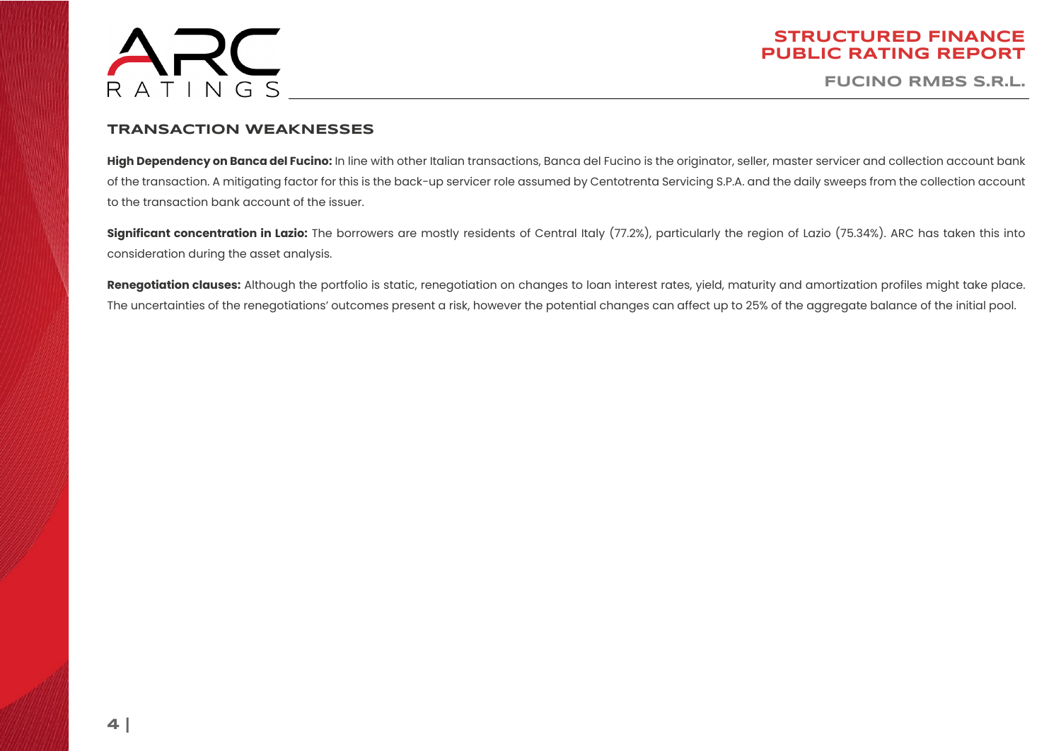

**FUCINO RMBS S.R.L.**

### **TRANSACTION WEAKNESSES**

High Dependency on Banca del Fucino: In line with other Italian transactions, Banca del Fucino is the originator, seller, master servicer and collection account bank of the transaction. A mitigating factor for this is the back-up servicer role assumed by Centotrenta Servicing S.P.A. and the daily sweeps from the collection account to the transaction bank account of the issuer.

**Significant concentration in Lazio:** The borrowers are mostly residents of Central Italy (77.2%), particularly the region of Lazio (75.34%). ARC has taken this into consideration during the asset analysis.

**Renegotiation clauses:** Although the portfolio is static, renegotiation on changes to loan interest rates, yield, maturity and amortization profiles might take place. The uncertainties of the renegotiations' outcomes present a risk, however the potential changes can affect up to 25% of the aggregate balance of the initial pool.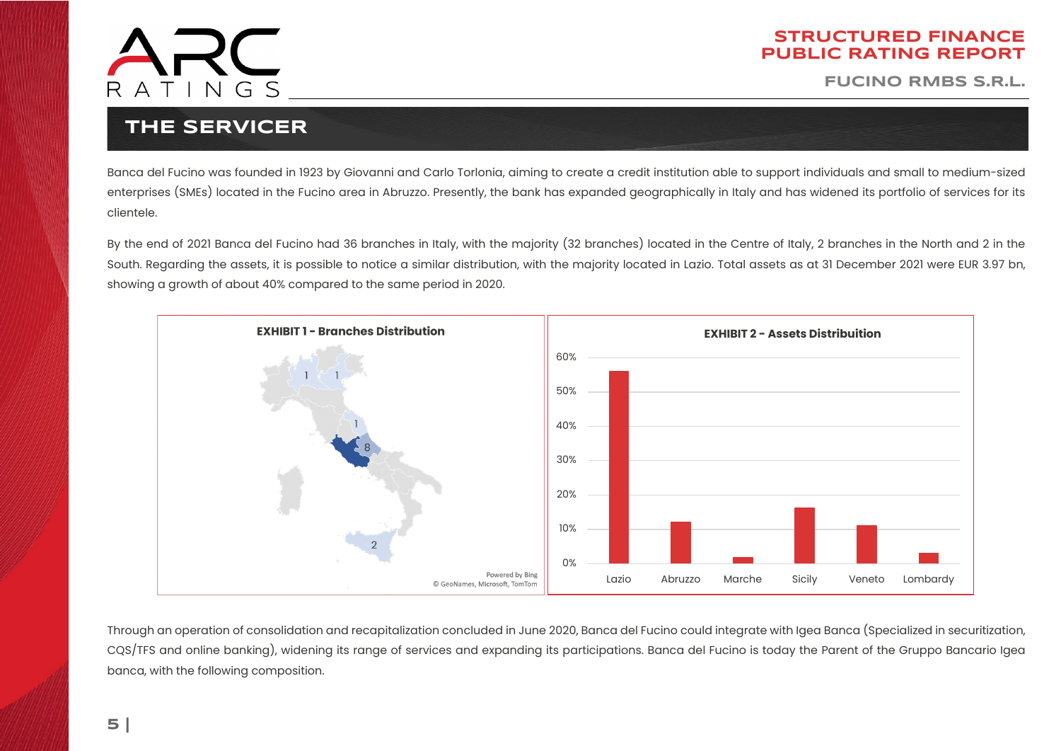

**FUCINO RMBS S.R.L.**

## **THE SERVICER**

<span id="page-4-0"></span>Banca del Fucino was founded in 1923 by Giovanni and Carlo Torlonia, aiming to create a credit institution able to support individuals and small to medium-sized enterprises (SMEs) located in the Fucino area in Abruzzo. Presently, the bank has expanded geographically in Italy and has widened its portfolio of services for its clientele.

By the end of 2021 Banca del Fucino had 36 branches in Italy, with the majority (32 branches) located in the Centre of Italy, 2 branches in the North and 2 in the South. Regarding the assets, it is possible to notice a similar distribution, with the majority located in Lazio. Total assets as at 31 December 2021 were EUR 3.97 bn, showing a growth of about 40% compared to the same period in 2020.



Through an operation of consolidation and recapitalization concluded in June 2020, Banca del Fucino could integrate with Igea Banca (Specialized in securitization, CQS/TFS and online banking), widening its range of services and expanding its participations. Banca del Fucino is today the Parent of the Gruppo Bancario Igea banca, with the following composition.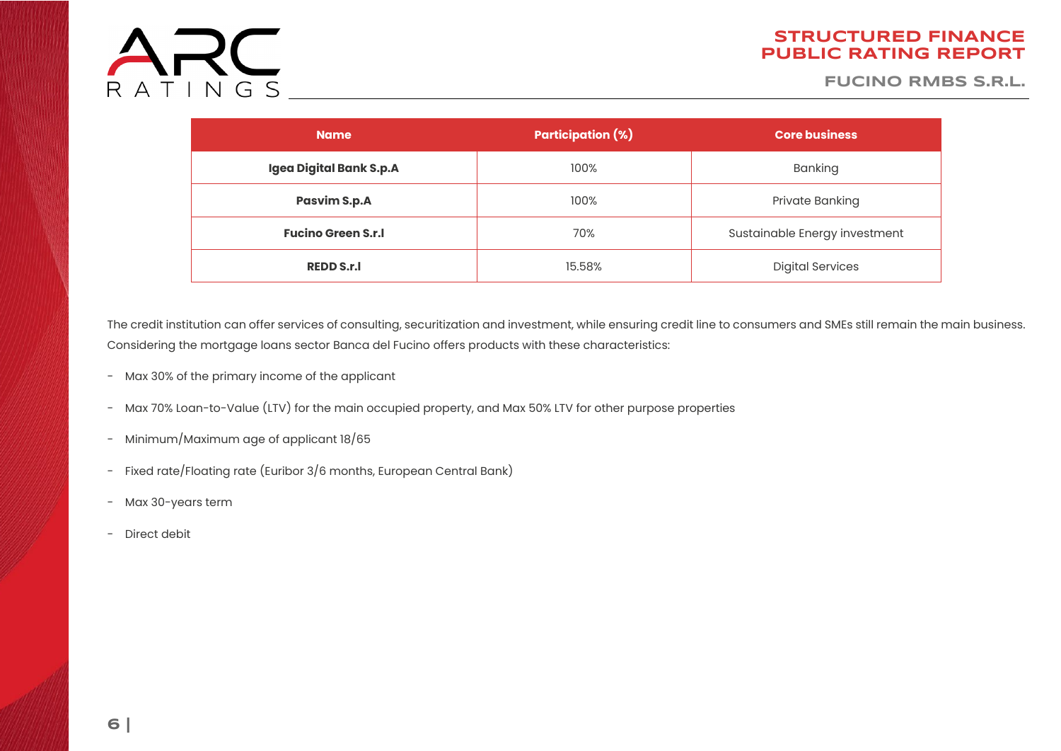

**FUCINO RMBS S.R.L.**

| <b>Name</b>               | <b>Participation (%)</b> | <b>Core business</b>          |  |
|---------------------------|--------------------------|-------------------------------|--|
| Igea Digital Bank S.p.A   | 100%                     | Banking                       |  |
| <b>Pasvim S.p.A</b>       | 100%                     | Private Banking               |  |
| <b>Fucino Green S.r.I</b> | 70%                      | Sustainable Energy investment |  |
| <b>REDD S.r.I</b>         | 15.58%                   | <b>Digital Services</b>       |  |

The credit institution can offer services of consulting, securitization and investment, while ensuring credit line to consumers and SMEs still remain the main business. Considering the mortgage loans sector Banca del Fucino offers products with these characteristics:

- Max 30% of the primary income of the applicant
- Max 70% Loan-to-Value (LTV) for the main occupied property, and Max 50% LTV for other purpose properties
- Minimum/Maximum age of applicant 18/65
- Fixed rate/Floating rate (Euribor 3/6 months, European Central Bank)
- Max 30-years term
- Direct debit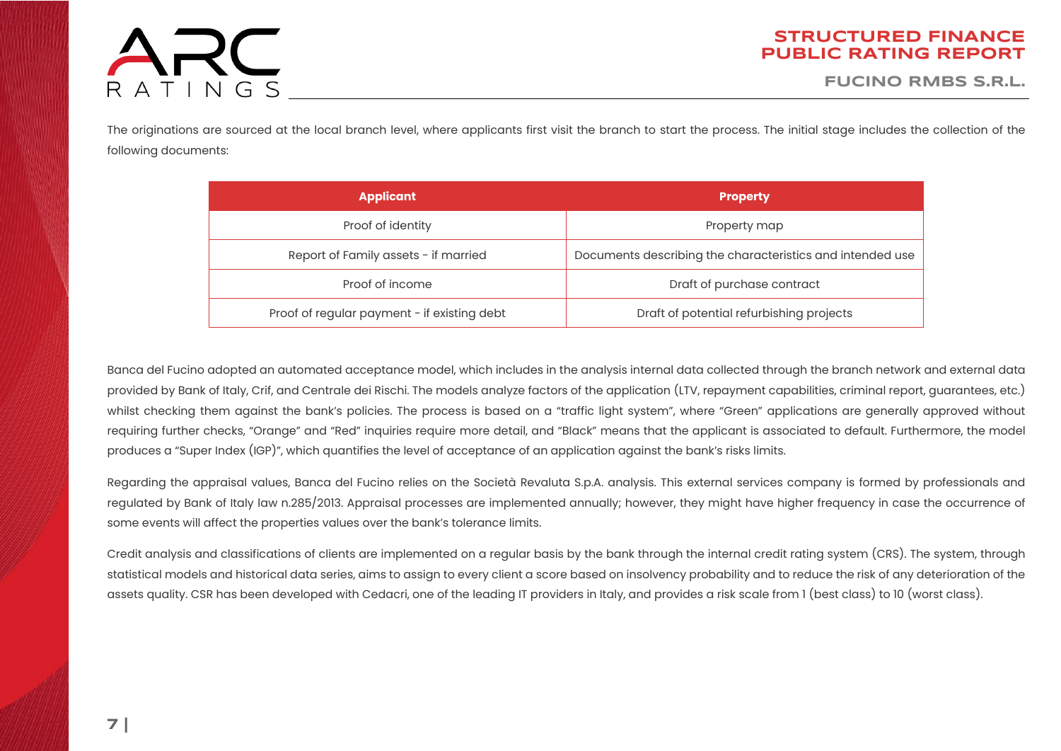# ARC RATINGS

### **STRUCTURED FINANCE PUBLIC RATING REPORT**

**FUCINO RMBS S.R.L.**

The originations are sourced at the local branch level, where applicants first visit the branch to start the process. The initial stage includes the collection of the following documents:

| <b>Applicant</b>                            | <b>Property</b>                                           |
|---------------------------------------------|-----------------------------------------------------------|
| Proof of identity                           | Property map                                              |
| Report of Family assets - if married        | Documents describing the characteristics and intended use |
| Proof of income                             | Draft of purchase contract                                |
| Proof of regular payment - if existing debt | Draft of potential refurbishing projects                  |

Banca del Fucino adopted an automated acceptance model, which includes in the analysis internal data collected through the branch network and external data provided by Bank of Italy, Crif, and Centrale dei Rischi. The models analyze factors of the application (LTV, repayment capabilities, criminal report, guarantees, etc.) whilst checking them against the bank's policies. The process is based on a "traffic light system", where "Green" applications are generally approved without requiring further checks, "Orange" and "Red" inquiries require more detail, and "Black" means that the applicant is associated to default. Furthermore, the model produces a "Super Index (IGP)", which quantifies the level of acceptance of an application against the bank's risks limits.

Regarding the appraisal values, Banca del Fucino relies on the Società Revaluta S.p.A. analysis. This external services company is formed by professionals and regulated by Bank of Italy law n.285/2013. Appraisal processes are implemented annually; however, they might have higher frequency in case the occurrence of some events will affect the properties values over the bank's tolerance limits.

Credit analysis and classifications of clients are implemented on a regular basis by the bank through the internal credit rating system (CRS). The system, through statistical models and historical data series, aims to assign to every client a score based on insolvency probability and to reduce the risk of any deterioration of the assets quality. CSR has been developed with Cedacri, one of the leading IT providers in Italy, and provides a risk scale from 1 (best class) to 10 (worst class).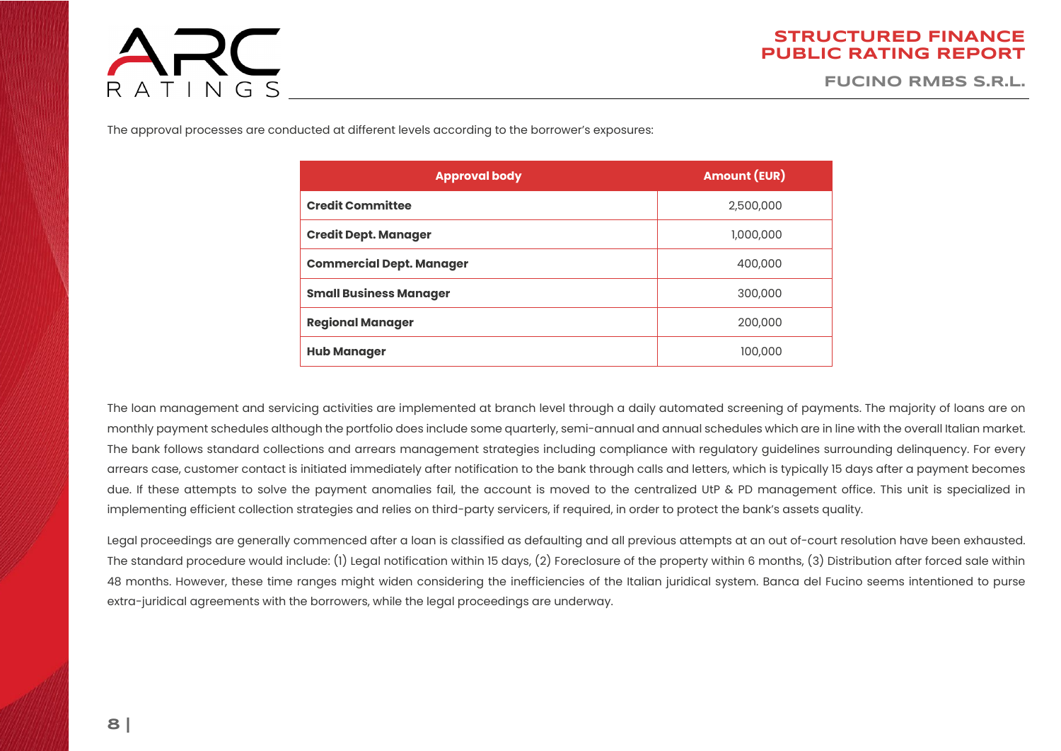# ARC RATINGS

### **STRUCTURED FINANCE PUBLIC RATING REPORT**

**FUCINO RMBS S.R.L.**

The approval processes are conducted at different levels according to the borrower's exposures:

| <b>Approval body</b>            | <b>Amount (EUR)</b> |  |
|---------------------------------|---------------------|--|
| <b>Credit Committee</b>         | 2,500,000           |  |
| <b>Credit Dept. Manager</b>     | 1,000,000           |  |
| <b>Commercial Dept. Manager</b> | 400,000             |  |
| <b>Small Business Manager</b>   | 300,000             |  |
| <b>Regional Manager</b>         | 200,000             |  |
| <b>Hub Manager</b>              | 100,000             |  |

The loan management and servicing activities are implemented at branch level through a daily automated screening of payments. The majority of loans are on monthly payment schedules although the portfolio does include some quarterly, semi-annual and annual schedules which are in line with the overall Italian market. The bank follows standard collections and arrears management strategies including compliance with regulatory guidelines surrounding delinquency. For every arrears case, customer contact is initiated immediately after notification to the bank through calls and letters, which is typically 15 days after a payment becomes due. If these attempts to solve the payment anomalies fail, the account is moved to the centralized UtP & PD management office. This unit is specialized in implementing efficient collection strategies and relies on third-party servicers, if required, in order to protect the bank's assets quality.

Legal proceedings are generally commenced after a loan is classified as defaulting and all previous attempts at an out of-court resolution have been exhausted. The standard procedure would include: (1) Legal notification within 15 days, (2) Foreclosure of the property within 6 months, (3) Distribution after forced sale within 48 months. However, these time ranges might widen considering the inefficiencies of the Italian juridical system. Banca del Fucino seems intentioned to purse extra-juridical agreements with the borrowers, while the legal proceedings are underway.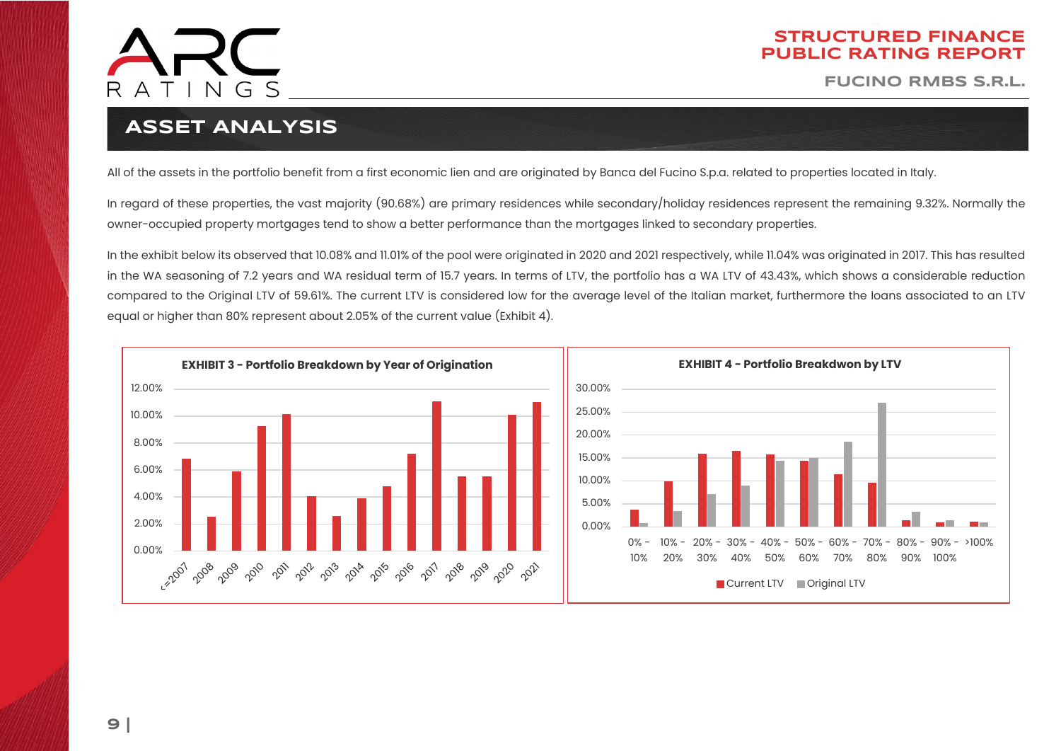

**FUCINO RMBS S.R.L.**

# **ASSET ANALYSIS**

All of the assets in the portfolio benefit from a first economic lien and are originated by Banca del Fucino S.p.a. related to properties located in Italy.

<span id="page-8-0"></span>In regard of these properties, the vast majority (90.68%) are primary residences while secondary/holiday residences represent the remaining 9.32%. Normally the owner-occupied property mortgages tend to show a better performance than the mortgages linked to secondary properties.

In the exhibit below its observed that 10.08% and 11.01% of the pool were originated in 2020 and 2021 respectively, while 11.04% was originated in 2017. This has resulted in the WA seasoning of 7.2 years and WA residual term of 15.7 years. In terms of LTV, the portfolio has a WA LTV of 43.43%, which shows a considerable reduction compared to the Original LTV of 59.61%. The current LTV is considered low for the average level of the Italian market, furthermore the loans associated to an LTV equal or higher than 80% represent about 2.05% of the current value (Exhibit 4).

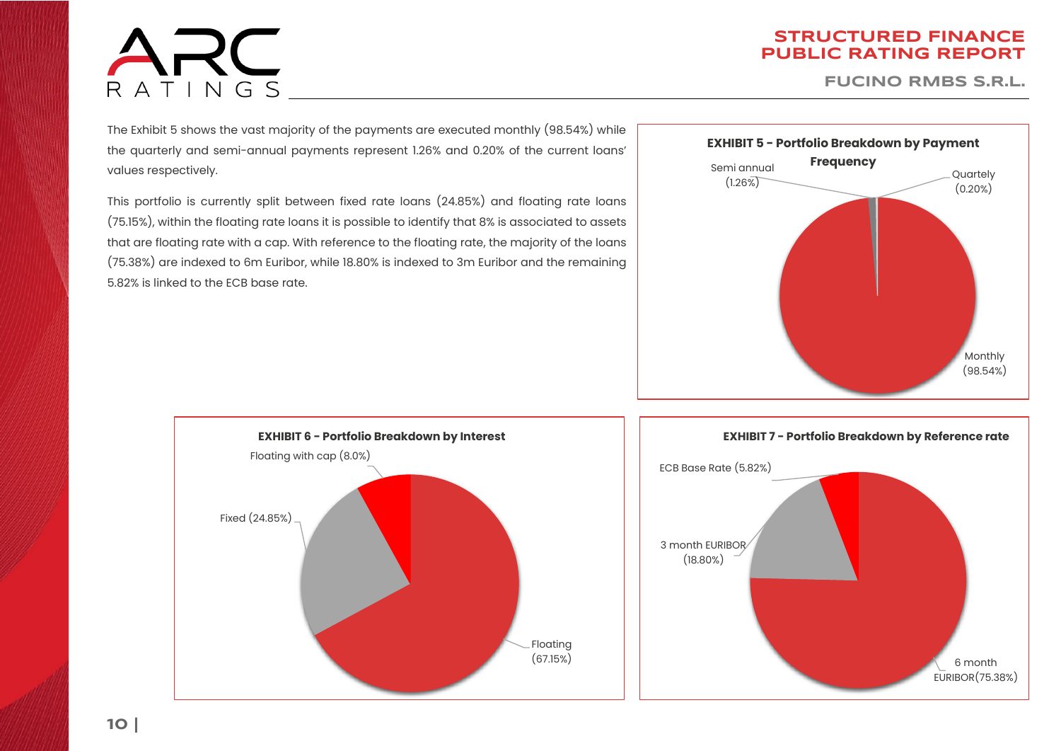# ARC RATINGS

### **STRUCTURED FINANCE PUBLIC RATING REPORT**

**FUCINO RMBS S.R.L.**

The Exhibit 5 shows the vast majority of the payments are executed monthly (98.54%) while the quarterly and semi-annual payments represent 1.26% and 0.20% of the current loans' values respectively.

This portfolio is currently split between fixed rate loans (24.85%) and floating rate loans (75.15%), within the floating rate loans it is possible to identify that 8% is associated to assets that are floating rate with a cap. With reference to the floating rate, the majority of the loans (75.38%) are indexed to 6m Euribor, while 18.80% is indexed to 3m Euribor and the remaining 5.82% is linked to the ECB base rate.



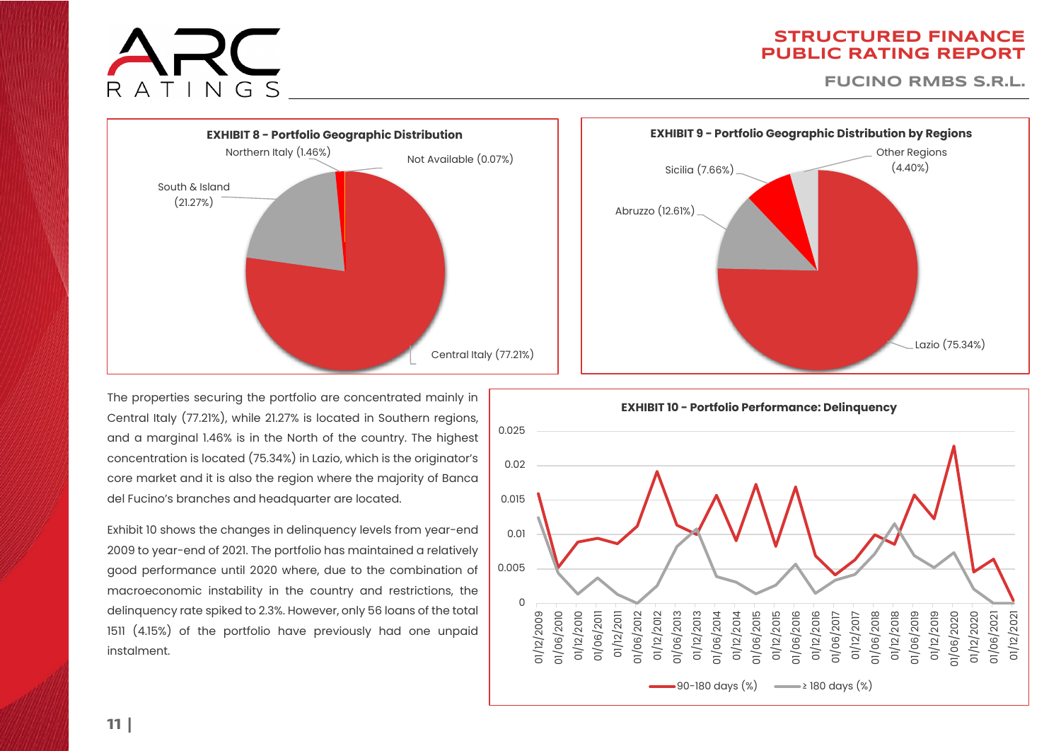

**FUCINO RMBS S.R.L.**



The properties securing the portfolio are concentrated mainly in Central Italy (77.21%), while 21.27% is located in Southern regions, and a marginal 1.46% is in the North of the country. The highest concentration is located (75.34%) in Lazio, which is the originator's core market and it is also the region where the majority of Banca del Fucino's branches and headquarter are located.

Exhibit 10 shows the changes in delinquency levels from year-end 2009 to year-end of 2021. The portfolio has maintained a relatively good performance until 2020 where, due to the combination of macroeconomic instability in the country and restrictions, the delinquency rate spiked to 2.3%. However, only 56 loans of the total 1511 (4.15%) of the portfolio have previously had one unpaid instalment.



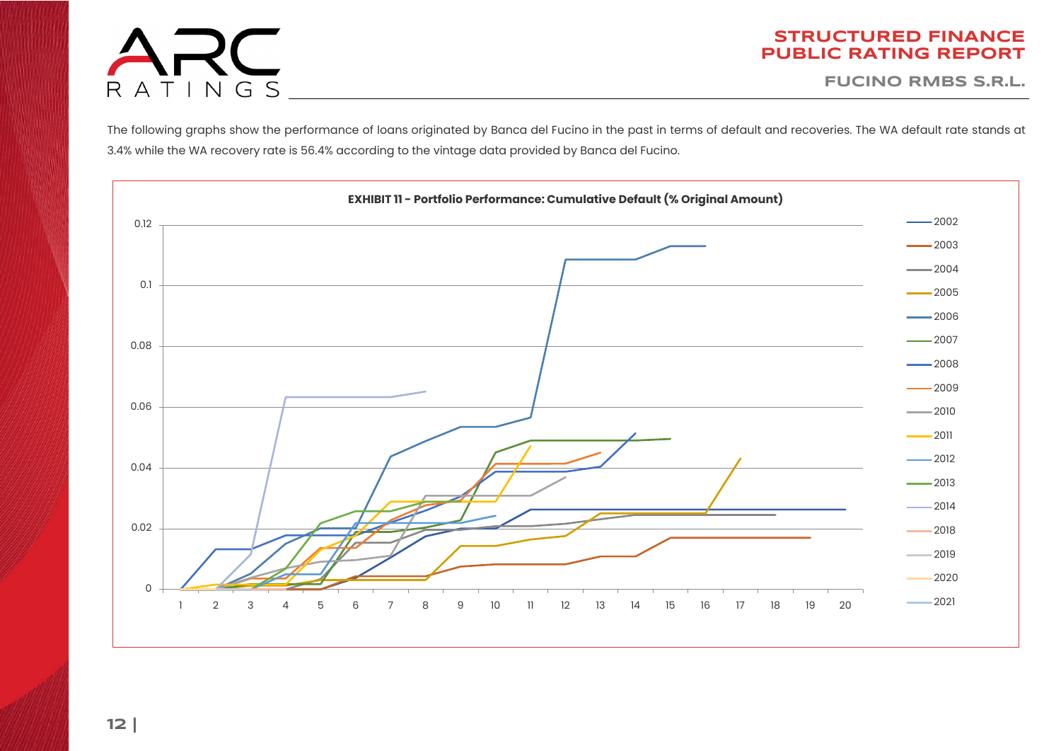

**FUCINO RMBS S.R.L.**

The following graphs show the performance of loans originated by Banca del Fucino in the past in terms of default and recoveries. The WA default rate stands at 3.4% while the WA recovery rate is 56.4% according to the vintage data provided by Banca del Fucino.

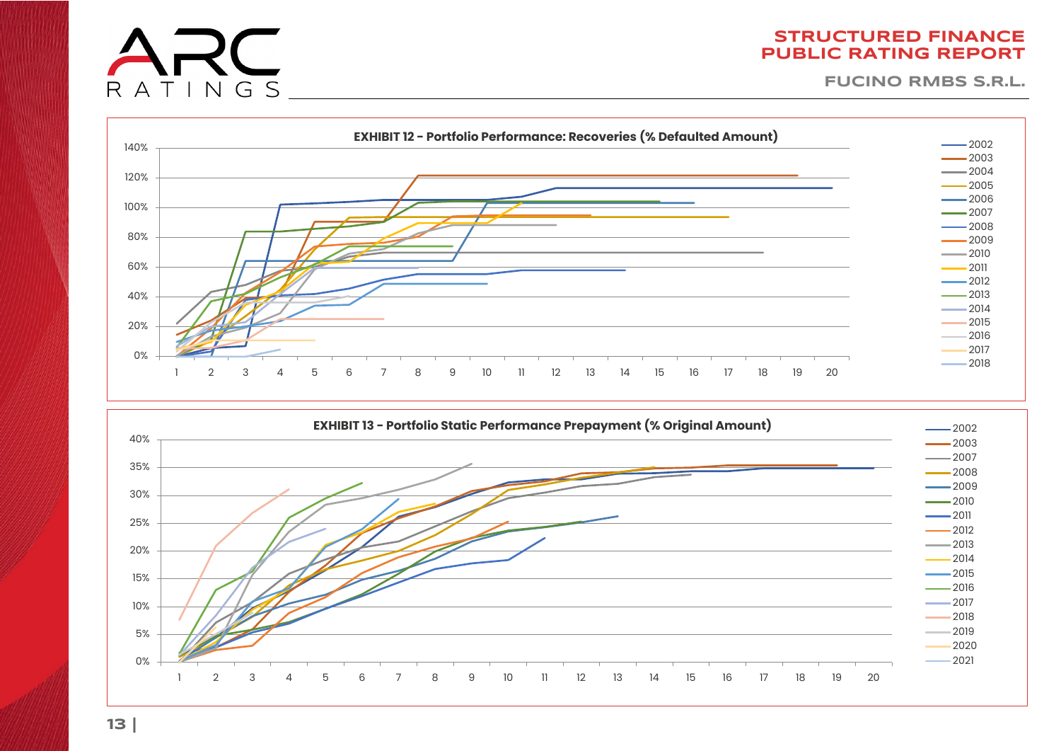

**FUCINO RMBS S.R.L.**





RATINGS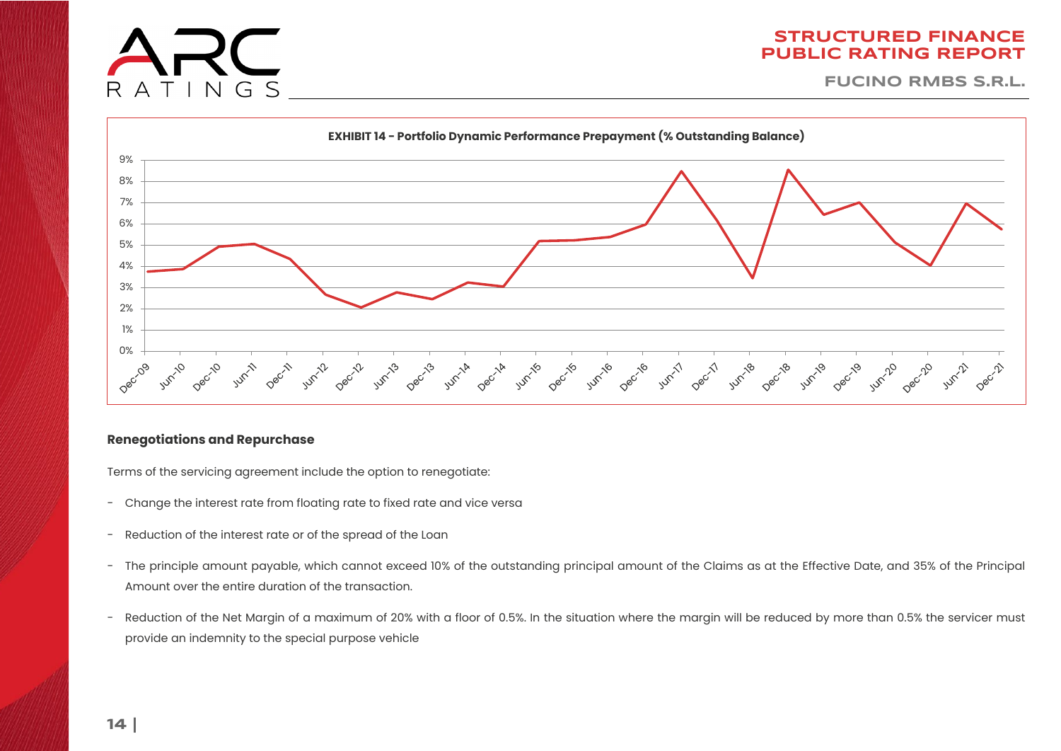**FUCINO RMBS S.R.L.**



### **Renegotiations and Repurchase**

 $T IN G S$ 

R

Terms of the servicing agreement include the option to renegotiate:

- Change the interest rate from floating rate to fixed rate and vice versa
- Reduction of the interest rate or of the spread of the Loan
- The principle amount payable, which cannot exceed 10% of the outstanding principal amount of the Claims as at the Effective Date, and 35% of the Principal Amount over the entire duration of the transaction.
- Reduction of the Net Margin of a maximum of 20% with a floor of 0.5%. In the situation where the margin will be reduced by more than 0.5% the servicer must provide an indemnity to the special purpose vehicle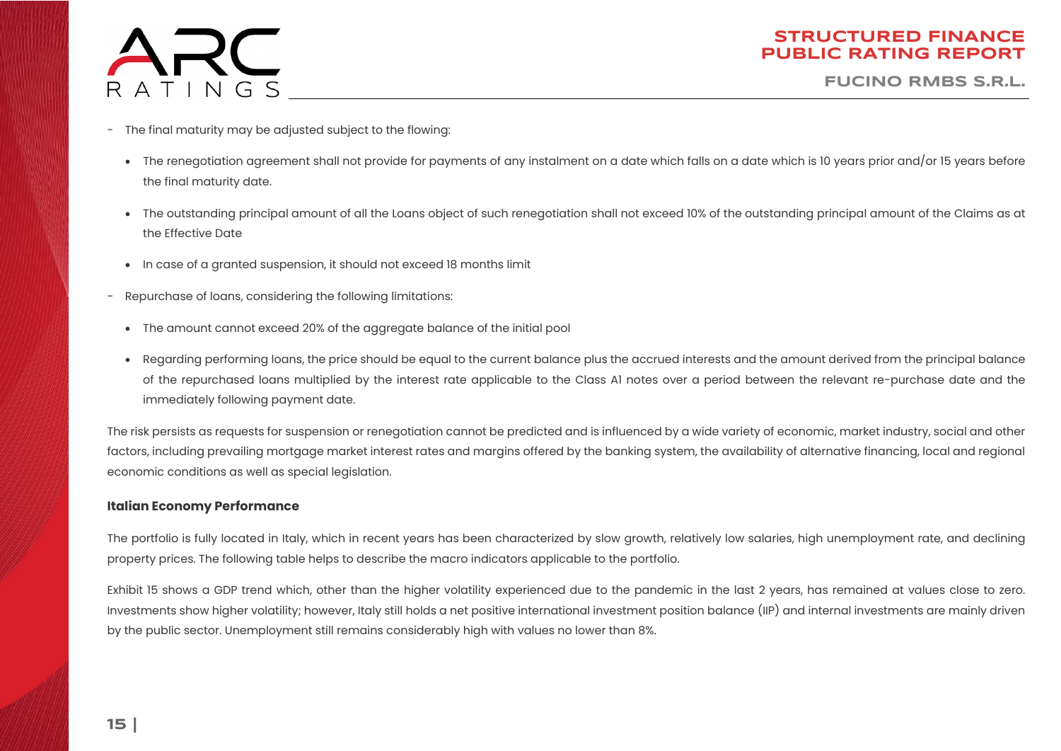

**FUCINO RMBS S.R.L.**

- The final maturity may be adjusted subject to the flowing:
	- The renegotiation agreement shall not provide for payments of any instalment on a date which falls on a date which is 10 years prior and/or 15 years before the final maturity date.
	- The outstanding principal amount of all the Loans object of such renegotiation shall not exceed 10% of the outstanding principal amount of the Claims as at the Effective Date
	- In case of a granted suspension, it should not exceed 18 months limit
- Repurchase of loans, considering the following limitations:
- The amount cannot exceed 20% of the aggregate balance of the initial pool
- Regarding performing loans, the price should be equal to the current balance plus the accrued interests and the amount derived from the principal balance of the repurchased loans multiplied by the interest rate applicable to the Class A1 notes over a period between the relevant re-purchase date and the immediately following payment date.

The risk persists as requests for suspension or renegotiation cannot be predicted and is influenced by a wide variety of economic, market industry, social and other factors, including prevailing mortgage market interest rates and margins offered by the banking system, the availability of alternative financing, local and regional economic conditions as well as special legislation.

### **Italian Economy Performance**

The portfolio is fully located in Italy, which in recent years has been characterized by slow growth, relatively low salaries, high unemployment rate, and declining property prices. The following table helps to describe the macro indicators applicable to the portfolio.

Exhibit 15 shows a GDP trend which, other than the higher volatility experienced due to the pandemic in the last 2 years, has remained at values close to zero. Investments show higher volatility; however, Italy still holds a net positive international investment position balance (IIP) and internal investments are mainly driven by the public sector. Unemployment still remains considerably high with values no lower than 8%.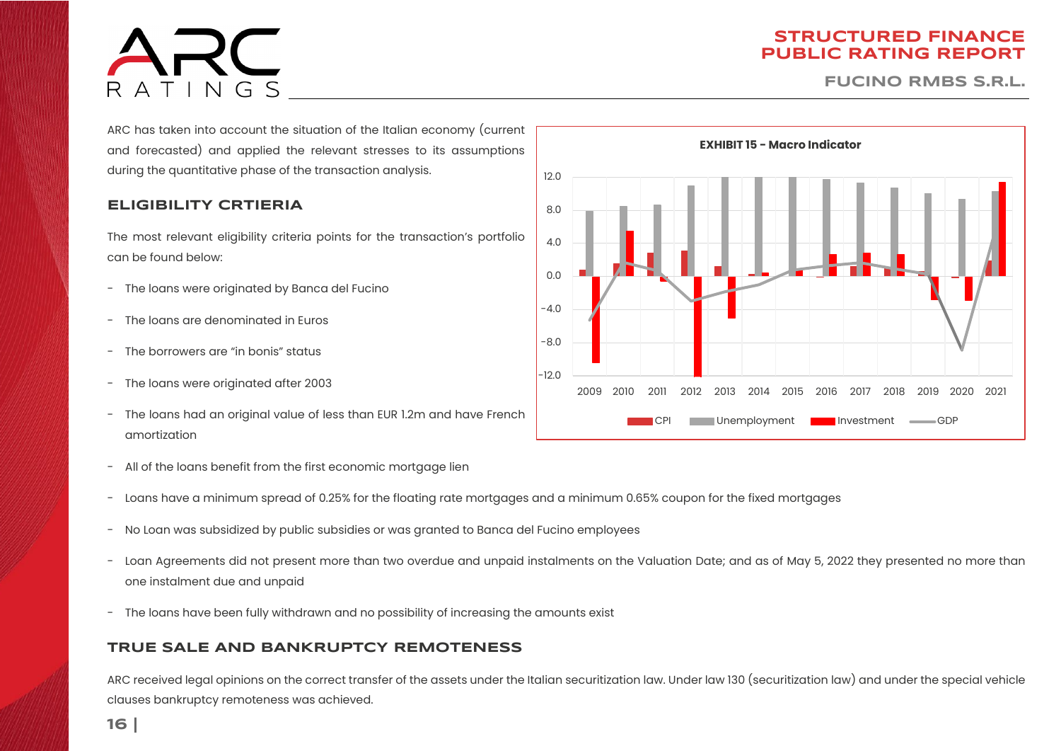# $ATINGS$

### **STRUCTURED FINANCE PUBLIC RATING REPORT**

**FUCINO RMBS S.R.L.**

ARC has taken into account the situation of the Italian economy (current and forecasted) and applied the relevant stresses to its assumptions during the quantitative phase of the transaction analysis.

### **ELIGIBILITY CRTIERIA**

The most relevant eligibility criteria points for the transaction's portfolio can be found below:

- The loans were originated by Banca del Fucino
- The loans are denominated in Euros
- The borrowers are "in bonis" status
- The loans were originated after 2003
- The loans had an original value of less than EUR 1.2m and have French amortization
- All of the loans benefit from the first economic mortgage lien
- Loans have a minimum spread of 0.25% for the floating rate mortgages and a minimum 0.65% coupon for the fixed mortgages
- No Loan was subsidized by public subsidies or was granted to Banca del Fucino employees
- Loan Agreements did not present more than two overdue and unpaid instalments on the Valuation Date; and as of May 5, 2022 they presented no more than one instalment due and unpaid
- The loans have been fully withdrawn and no possibility of increasing the amounts exist

### **TRUE SALE AND BANKRUPTCY REMOTENESS**

ARC received legal opinions on the correct transfer of the assets under the Italian securitization law. Under law 130 (securitization law) and under the special vehicle clauses bankruptcy remoteness was achieved.

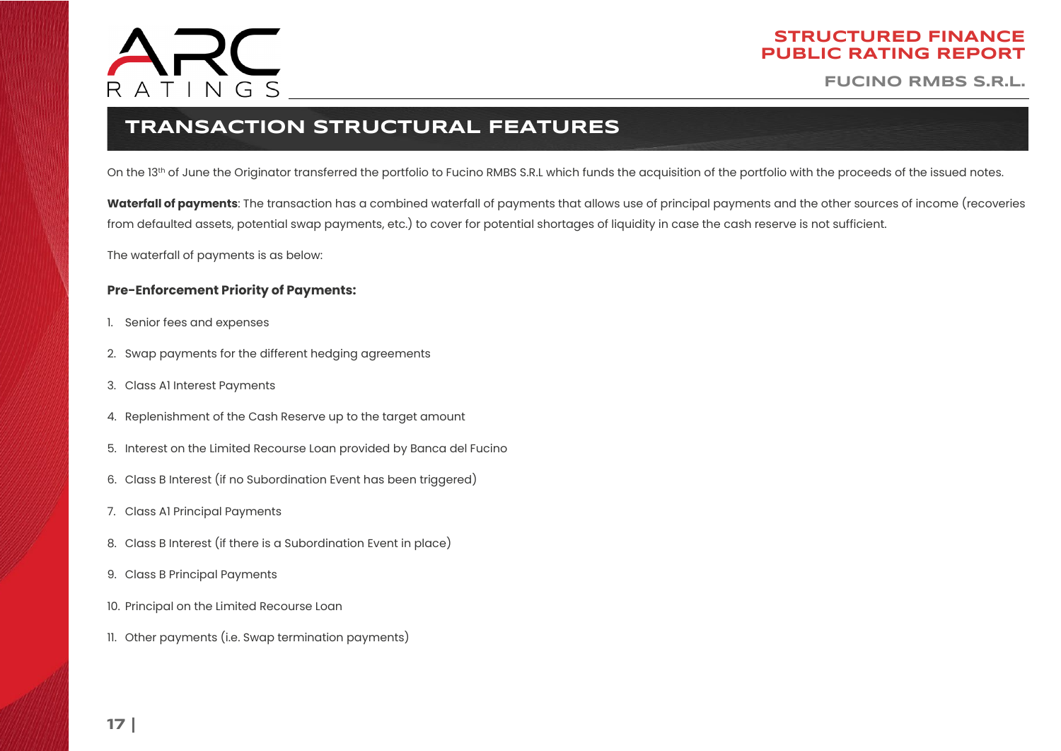

**FUCINO RMBS S.R.L.**

# **TRANSACTION STRUCTURAL FEATURES**

On the 13th of June the Originator transferred the portfolio to Fucino RMBS S.R.L which funds the acquisition of the portfolio with the proceeds of the issued notes.

<span id="page-16-0"></span>**Waterfall of payments**: The transaction has a combined waterfall of payments that allows use of principal payments and the other sources of income (recoveries from defaulted assets, potential swap payments, etc.) to cover for potential shortages of liquidity in case the cash reserve is not sufficient.

The waterfall of payments is as below:

### **Pre-Enforcement Priority of Payments:**

- 1. Senior fees and expenses
- 2. Swap payments for the different hedging agreements
- 3. Class A1 Interest Payments
- 4. Replenishment of the Cash Reserve up to the target amount
- 5. Interest on the Limited Recourse Loan provided by Banca del Fucino
- 6. Class B Interest (if no Subordination Event has been triggered)
- 7. Class A1 Principal Payments
- 8. Class B Interest (if there is a Subordination Event in place)
- 9. Class B Principal Payments
- 10. Principal on the Limited Recourse Loan
- 11. Other payments (i.e. Swap termination payments)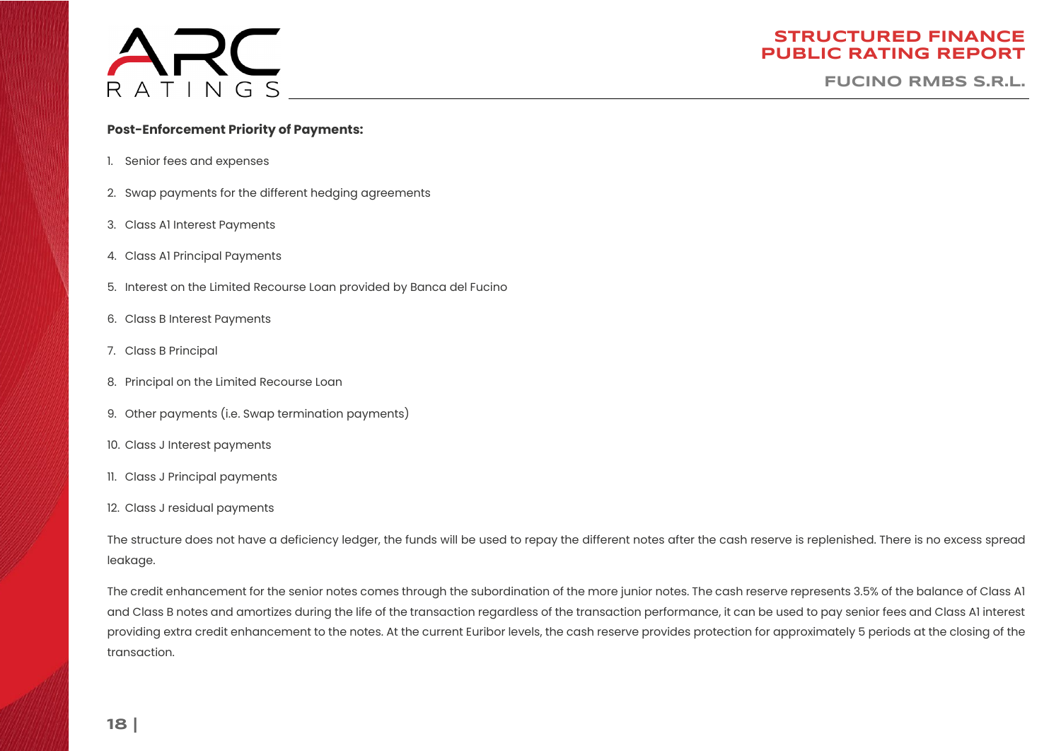

**FUCINO RMBS S.R.L.**

### **Post-Enforcement Priority of Payments:**

- 1. Senior fees and expenses
- 2. Swap payments for the different hedging agreements
- 3. Class A1 Interest Payments
- 4. Class A1 Principal Payments
- 5. Interest on the Limited Recourse Loan provided by Banca del Fucino
- 6. Class B Interest Payments
- 7. Class B Principal
- 8. Principal on the Limited Recourse Loan
- 9. Other payments (i.e. Swap termination payments)
- 10. Class J Interest payments
- 11. Class J Principal payments
- 12. Class J residual payments

The structure does not have a deficiency ledger, the funds will be used to repay the different notes after the cash reserve is replenished. There is no excess spread leakage.

The credit enhancement for the senior notes comes through the subordination of the more junior notes. The cash reserve represents 3.5% of the balance of Class A1 and Class B notes and amortizes during the life of the transaction regardless of the transaction performance, it can be used to pay senior fees and Class A1 interest providing extra credit enhancement to the notes. At the current Euribor levels, the cash reserve provides protection for approximately 5 periods at the closing of the transaction.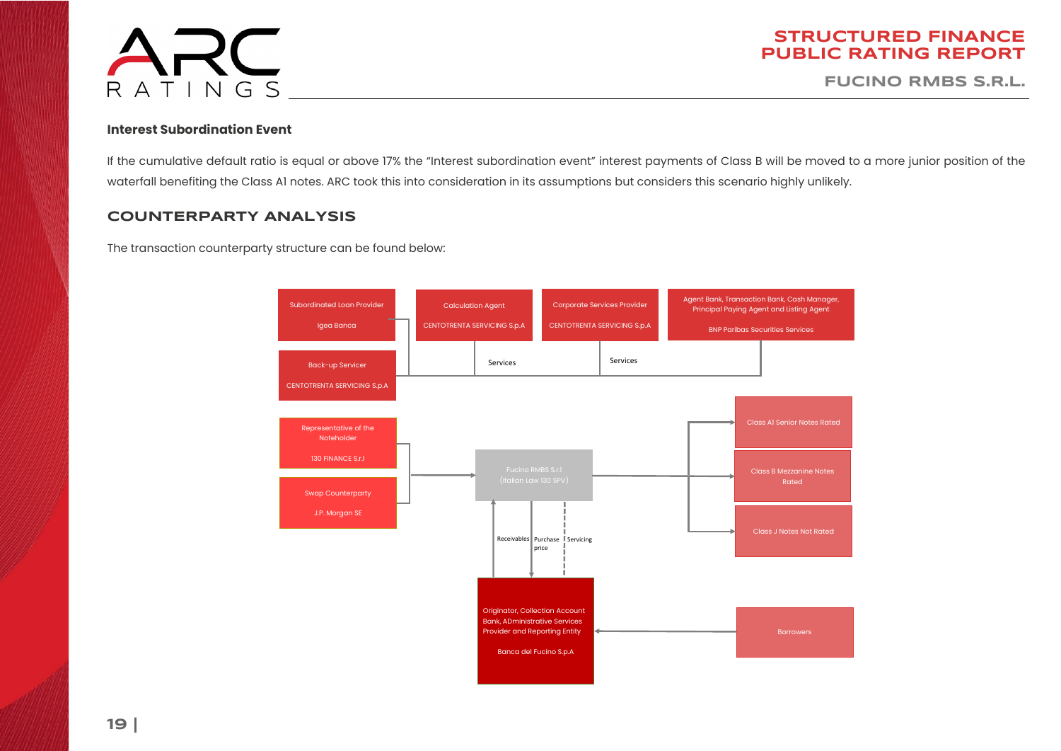

**FUCINO RMBS S.R.L.**

### **Interest Subordination Event**

If the cumulative default ratio is equal or above 17% the "Interest subordination event" interest payments of Class B will be moved to a more junior position of the waterfall benefiting the Class A1 notes. ARC took this into consideration in its assumptions but considers this scenario highly unlikely.

### **COUNTERPARTY ANALYSIS**

The transaction counterparty structure can be found below:

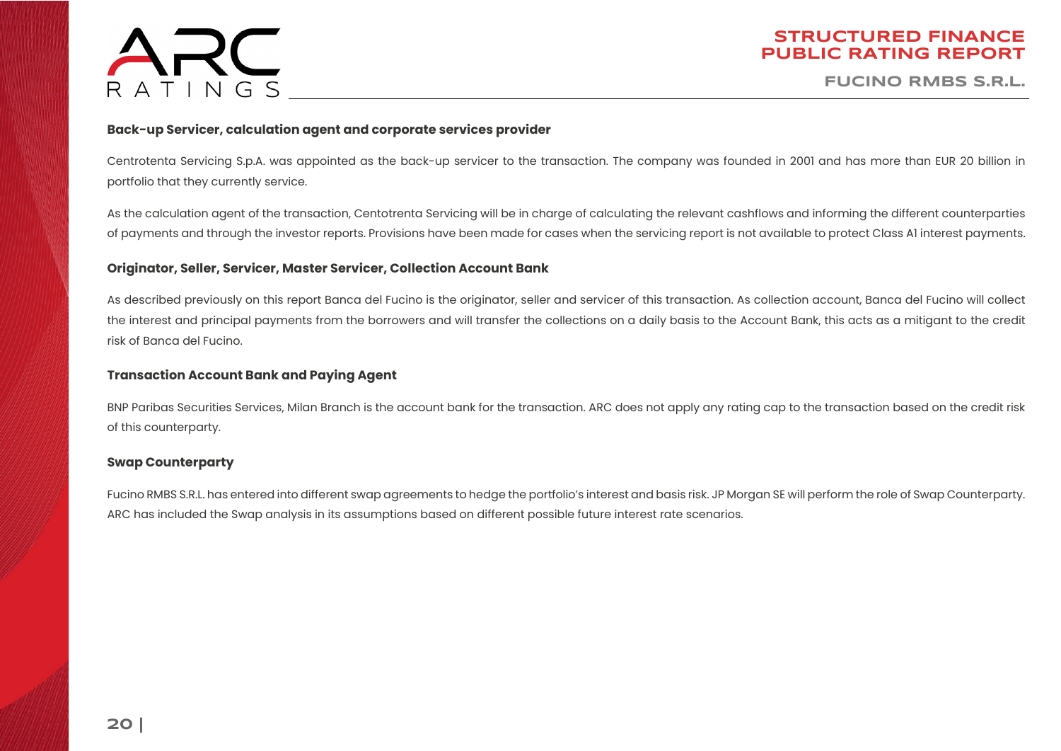

**FUCINO RMBS S.R.L.**

### **Back-up Servicer, calculation agent and corporate services provider**

Centrotenta Servicing S.p.A. was appointed as the back-up servicer to the transaction. The company was founded in 2001 and has more than EUR 20 billion in portfolio that they currently service.

As the calculation agent of the transaction, Centotrenta Servicing will be in charge of calculating the relevant cashflows and informing the different counterparties of payments and through the investor reports. Provisions have been made for cases when the servicing report is not available to protect Class A1 interest payments.

### **Originator, Seller, Servicer, Master Servicer, Collection Account Bank**

As described previously on this report Banca del Fucino is the originator, seller and servicer of this transaction. As collection account, Banca del Fucino will collect the interest and principal payments from the borrowers and will transfer the collections on a daily basis to the Account Bank, this acts as a mitigant to the credit risk of Banca del Fucino.

### **Transaction Account Bank and Paying Agent**

BNP Paribas Securities Services, Milan Branch is the account bank for the transaction. ARC does not apply any rating cap to the transaction based on the credit risk of this counterparty.

### **Swap Counterparty**

Fucino RMBS S.R.L. has entered into different swap agreements to hedge the portfolio's interest and basis risk. JP Morgan SE will perform the role of Swap Counterparty. ARC has included the Swap analysis in its assumptions based on different possible future interest rate scenarios.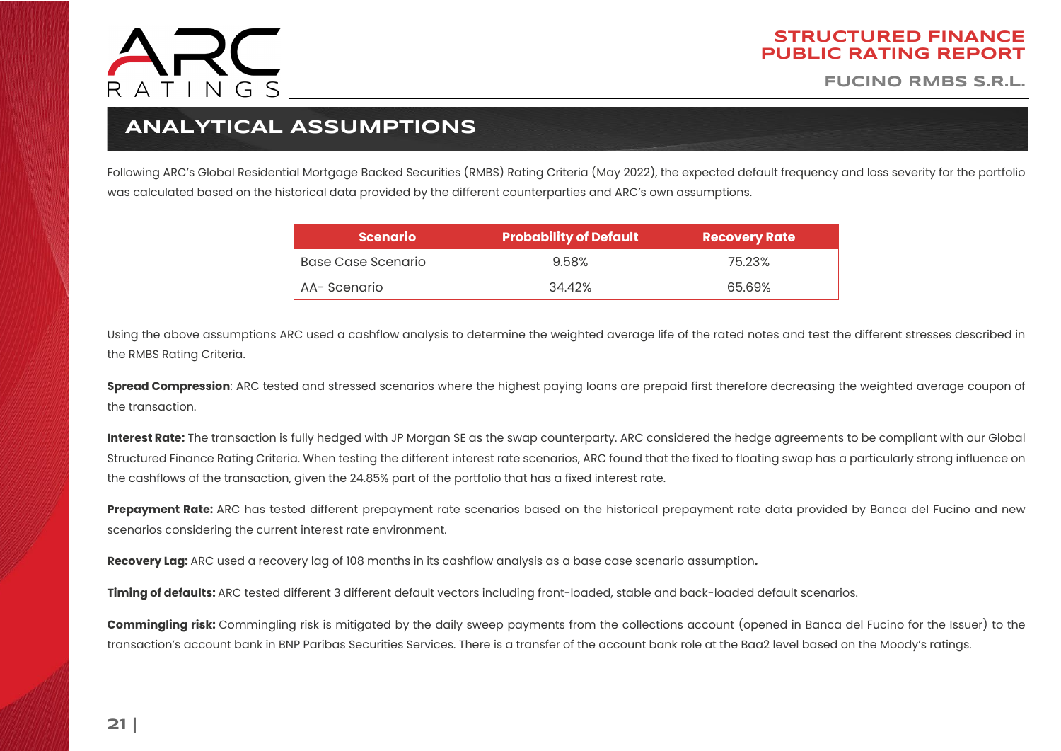

**FUCINO RMBS S.R.L.**

## **ANALYTICAL ASSUMPTIONS**

<span id="page-20-0"></span>Following ARC's Global Residential Mortgage Backed Securities (RMBS) Rating Criteria (May 2022), the expected default frequency and loss severity for the portfolio was calculated based on the historical data provided by the different counterparties and ARC's own assumptions.

| <b>Scenario</b>    | <b>Probability of Default</b> | <b>Recovery Rate</b> |
|--------------------|-------------------------------|----------------------|
| Base Case Scenario | 9.58%                         | 75.23%               |
| AA-Scenario        | 34.42%                        | 65.69%               |

Using the above assumptions ARC used a cashflow analysis to determine the weighted average life of the rated notes and test the different stresses described in the RMBS Rating Criteria.

**Spread Compression**: ARC tested and stressed scenarios where the highest paying loans are prepaid first therefore decreasing the weighted average coupon of the transaction.

**Interest Rate:** The transaction is fully hedged with JP Morgan SE as the swap counterparty. ARC considered the hedge agreements to be compliant with our Global Structured Finance Rating Criteria. When testing the different interest rate scenarios, ARC found that the fixed to floating swap has a particularly strong influence on the cashflows of the transaction, given the 24.85% part of the portfolio that has a fixed interest rate.

**Prepayment Rate:** ARC has tested different prepayment rate scenarios based on the historical prepayment rate data provided by Banca del Fucino and new scenarios considering the current interest rate environment.

**Recovery Lag:** ARC used a recovery lag of 108 months in its cashflow analysis as a base case scenario assumption**.**

**Timing of defaults:** ARC tested different 3 different default vectors including front-loaded, stable and back-loaded default scenarios.

**Commingling risk:** Commingling risk is mitigated by the daily sweep payments from the collections account (opened in Banca del Fucino for the Issuer) to the transaction's account bank in BNP Paribas Securities Services. There is a transfer of the account bank role at the Baa2 level based on the Moody's ratings.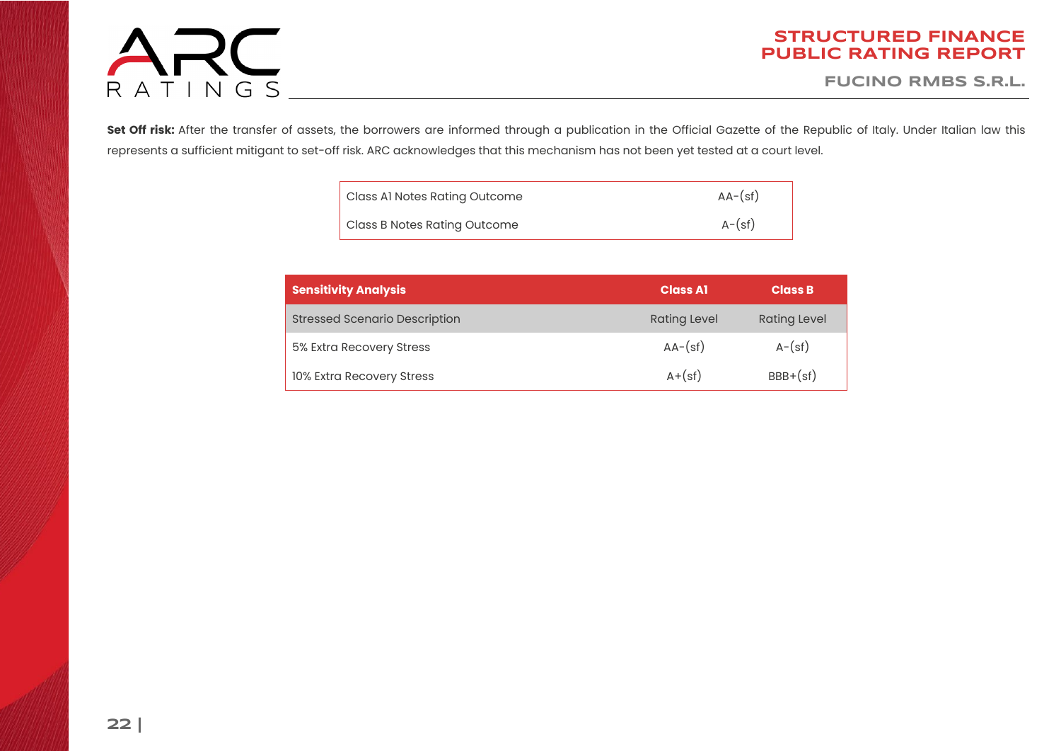# ARC

### **STRUCTURED FINANCE PUBLIC RATING REPORT**

**FUCINO RMBS S.R.L.**

Set Off risk: After the transfer of assets, the borrowers are informed through a publication in the Official Gazette of the Republic of Italy. Under Italian law this represents a sufficient mitigant to set-off risk. ARC acknowledges that this mechanism has not been yet tested at a court level.

| Class Al Notes Rating Outcome       | $AA-(sf)$ |
|-------------------------------------|-----------|
| <b>Class B Notes Rating Outcome</b> | $A-(sf)$  |

| <b>Sensitivity Analysis</b>          | <b>Class A1</b>     | <b>Class B</b>      |
|--------------------------------------|---------------------|---------------------|
| <b>Stressed Scenario Description</b> | <b>Rating Level</b> | <b>Rating Level</b> |
| 5% Extra Recovery Stress             | $AA-(sf)$           | $A-(sf)$            |
| 10% Extra Recovery Stress            | $A + (sf)$          | $BBB+(sf)$          |